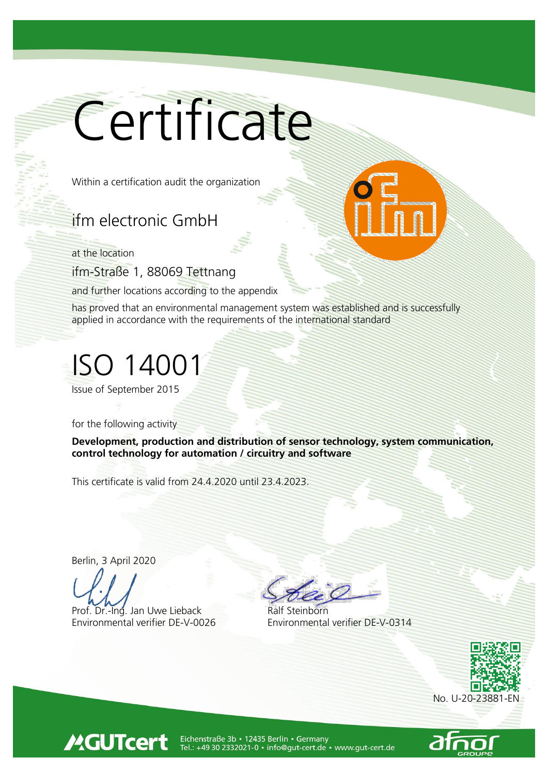## Certificate

Within a certification audit the organization

## ifm electronic GmbH

at the location

ifm-Straße 1, 88069 Tettnang

and further locations according to the appendix

has proved that an environmental management system was established and is successfully applied in accordance with the requirements of the international standard

## ISO 14001

Issue of September 2015

for the following activity

Development, production and distribution of sensor technology, system communication, control technology for automation / circuitry and software

This certificate is valid from 24.4.2020 until 23.4.2023.

Berlin, 3 April 2020

**MGUTcert** 

Prof. Dr.-Ing. Jan Uwe Lieback Environmental verifier DE-V-0026 Environmental verifier DE-V-0314





Eichenstraße 3b • 12435 Berlin • Germany<br>Tel.: +49 30 2332021-0 • info@gut-cert.de • www.gut-cert.de